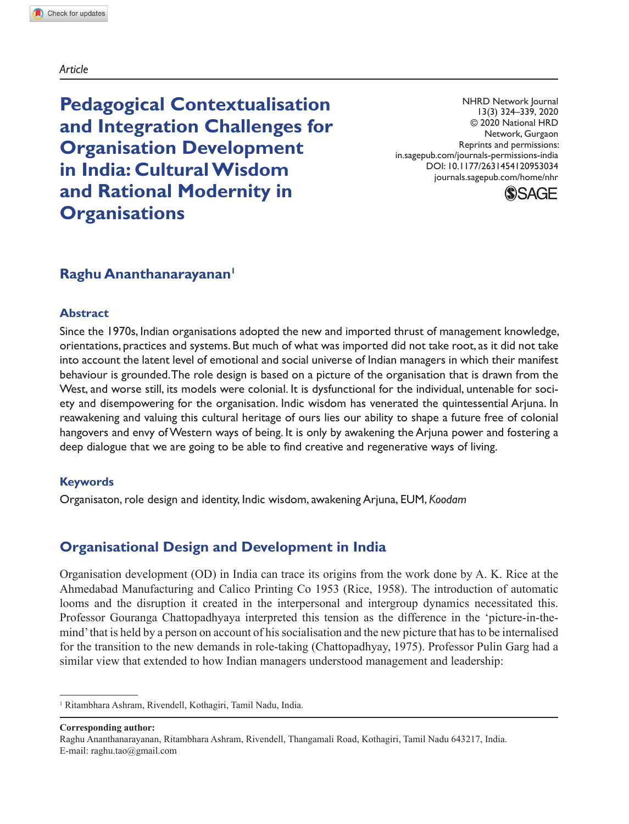*Article*

**Pedagogical Contextualisation and Integration Challenges for Organisation Development in India: Cultural Wisdom and Rational Modernity in Organisations**

NHRD Network Journal 13(3) 324–339, 2020 © 2020 National HRD Network, Gurgaon Reprints and permissions: in.sagepub.com/journals-permissions-india DOI: 10.1177/2631454120953034 journals.sagepub.com/home/nhr



### **Raghu Ananthanarayanan1**

#### **Abstract**

Since the 1970s, Indian organisations adopted the new and imported thrust of management knowledge, orientations, practices and systems. But much of what was imported did not take root, as it did not take into account the latent level of emotional and social universe of Indian managers in which their manifest behaviour is grounded. The role design is based on a picture of the organisation that is drawn from the West, and worse still, its models were colonial. It is dysfunctional for the individual, untenable for society and disempowering for the organisation. Indic wisdom has venerated the quintessential Arjuna. In reawakening and valuing this cultural heritage of ours lies our ability to shape a future free of colonial hangovers and envy of Western ways of being. It is only by awakening the Arjuna power and fostering a deep dialogue that we are going to be able to find creative and regenerative ways of living.

#### **Keywords**

Organisaton, role design and identity, Indic wisdom, awakening Arjuna, EUM, *Koodam*

# **Organisational Design and Development in India**

Organisation development (OD) in India can trace its origins from the work done by A. K. Rice at the Ahmedabad Manufacturing and Calico Printing Co 1953 (Rice, 1958). The introduction of automatic looms and the disruption it created in the interpersonal and intergroup dynamics necessitated this. Professor Gouranga Chattopadhyaya interpreted this tension as the difference in the 'picture-in-themind' that is held by a person on account of his socialisation and the new picture that has to be internalised for the transition to the new demands in role-taking (Chattopadhyay, 1975). Professor Pulin Garg had a similar view that extended to how Indian managers understood management and leadership:

**Corresponding author:**

<sup>&</sup>lt;sup>1</sup> Ritambhara Ashram, Rivendell, Kothagiri, Tamil Nadu, India.

Raghu Ananthanarayanan, Ritambhara Ashram, Rivendell, Thangamali Road, Kothagiri, Tamil Nadu 643217, India. E-mail: raghu.tao@gmail.com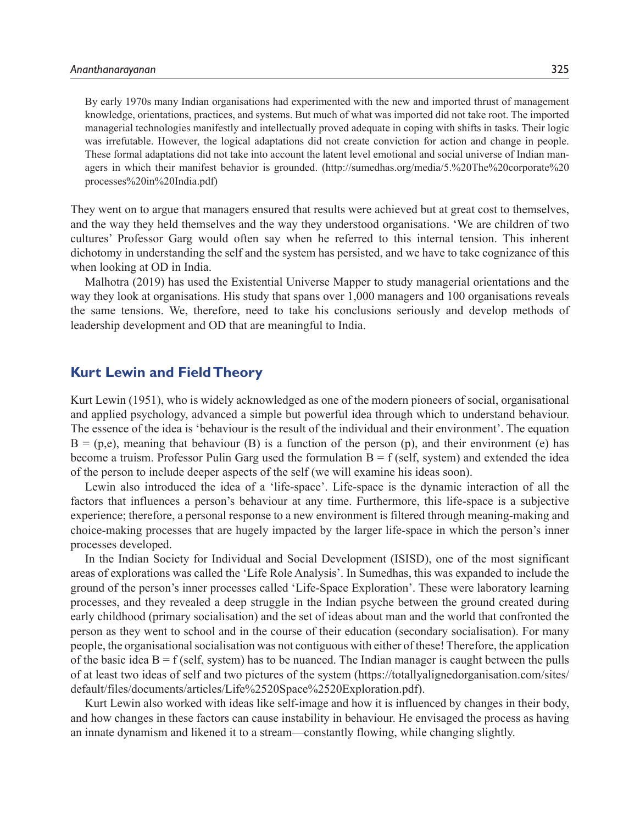By early 1970s many Indian organisations had experimented with the new and imported thrust of management knowledge, orientations, practices, and systems. But much of what was imported did not take root. The imported managerial technologies manifestly and intellectually proved adequate in coping with shifts in tasks. Their logic was irrefutable. However, the logical adaptations did not create conviction for action and change in people. These formal adaptations did not take into account the latent level emotional and social universe of Indian managers in which their manifest behavior is grounded. (http://sumedhas.org/media/5.%20The%20corporate%20 processes%20in%20India.pdf)

They went on to argue that managers ensured that results were achieved but at great cost to themselves, and the way they held themselves and the way they understood organisations. 'We are children of two cultures' Professor Garg would often say when he referred to this internal tension. This inherent dichotomy in understanding the self and the system has persisted, and we have to take cognizance of this when looking at OD in India.

Malhotra (2019) has used the Existential Universe Mapper to study managerial orientations and the way they look at organisations. His study that spans over 1,000 managers and 100 organisations reveals the same tensions. We, therefore, need to take his conclusions seriously and develop methods of leadership development and OD that are meaningful to India.

#### **Kurt Lewin and Field Theory**

Kurt Lewin (1951), who is widely acknowledged as one of the modern pioneers of social, organisational and applied psychology, advanced a simple but powerful idea through which to understand behaviour. The essence of the idea is 'behaviour is the result of the individual and their environment'. The equation  $B = (p,e)$ , meaning that behaviour (B) is a function of the person (p), and their environment (e) has become a truism. Professor Pulin Garg used the formulation  $B = f$  (self, system) and extended the idea of the person to include deeper aspects of the self (we will examine his ideas soon).

Lewin also introduced the idea of a 'life-space'. Life-space is the dynamic interaction of all the factors that influences a person's behaviour at any time. Furthermore, this life-space is a subjective experience; therefore, a personal response to a new environment is filtered through meaning-making and choice-making processes that are hugely impacted by the larger life-space in which the person's inner processes developed.

In the Indian Society for Individual and Social Development (ISISD), one of the most significant areas of explorations was called the 'Life Role Analysis'. In Sumedhas, this was expanded to include the ground of the person's inner processes called 'Life-Space Exploration'. These were laboratory learning processes, and they revealed a deep struggle in the Indian psyche between the ground created during early childhood (primary socialisation) and the set of ideas about man and the world that confronted the person as they went to school and in the course of their education (secondary socialisation). For many people, the organisational socialisation was not contiguous with either of these! Therefore, the application of the basic idea  $B = f$  (self, system) has to be nuanced. The Indian manager is caught between the pulls of at least two ideas of self and two pictures of the system (https://totallyalignedorganisation.com/sites/ default/files/documents/articles/Life%2520Space%2520Exploration.pdf).

Kurt Lewin also worked with ideas like self-image and how it is influenced by changes in their body, and how changes in these factors can cause instability in behaviour. He envisaged the process as having an innate dynamism and likened it to a stream—constantly flowing, while changing slightly.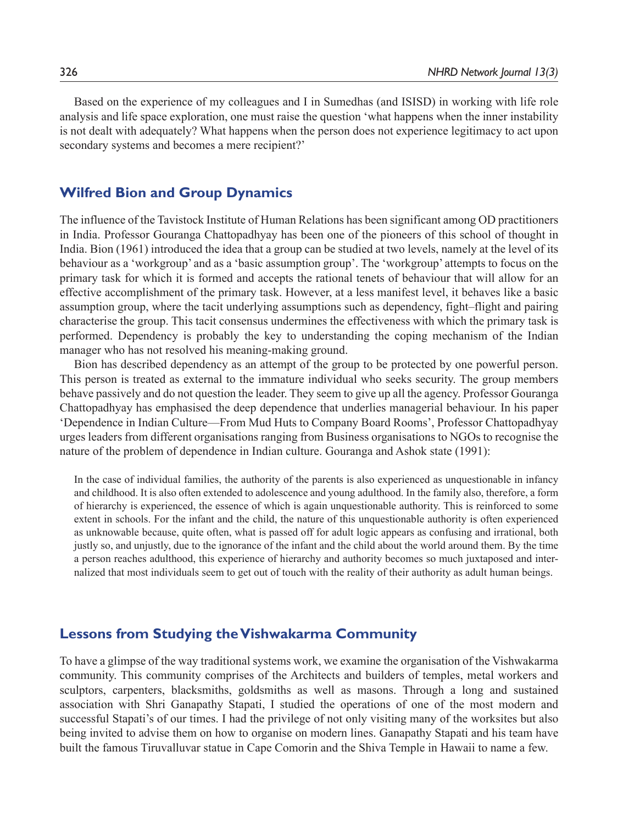Based on the experience of my colleagues and I in Sumedhas (and ISISD) in working with life role analysis and life space exploration, one must raise the question 'what happens when the inner instability is not dealt with adequately? What happens when the person does not experience legitimacy to act upon secondary systems and becomes a mere recipient?'

## **Wilfred Bion and Group Dynamics**

The influence of the Tavistock Institute of Human Relations has been significant among OD practitioners in India. Professor Gouranga Chattopadhyay has been one of the pioneers of this school of thought in India. Bion (1961) introduced the idea that a group can be studied at two levels, namely at the level of its behaviour as a 'workgroup' and as a 'basic assumption group'. The 'workgroup' attempts to focus on the primary task for which it is formed and accepts the rational tenets of behaviour that will allow for an effective accomplishment of the primary task. However, at a less manifest level, it behaves like a basic assumption group, where the tacit underlying assumptions such as dependency, fight–flight and pairing characterise the group. This tacit consensus undermines the effectiveness with which the primary task is performed. Dependency is probably the key to understanding the coping mechanism of the Indian manager who has not resolved his meaning-making ground.

Bion has described dependency as an attempt of the group to be protected by one powerful person. This person is treated as external to the immature individual who seeks security. The group members behave passively and do not question the leader. They seem to give up all the agency. Professor Gouranga Chattopadhyay has emphasised the deep dependence that underlies managerial behaviour. In his paper 'Dependence in Indian Culture—From Mud Huts to Company Board Rooms', Professor Chattopadhyay urges leaders from different organisations ranging from Business organisations to NGOs to recognise the nature of the problem of dependence in Indian culture. Gouranga and Ashok state (1991):

In the case of individual families, the authority of the parents is also experienced as unquestionable in infancy and childhood. It is also often extended to adolescence and young adulthood. In the family also, therefore, a form of hierarchy is experienced, the essence of which is again unquestionable authority. This is reinforced to some extent in schools. For the infant and the child, the nature of this unquestionable authority is often experienced as unknowable because, quite often, what is passed off for adult logic appears as confusing and irrational, both justly so, and unjustly, due to the ignorance of the infant and the child about the world around them. By the time a person reaches adulthood, this experience of hierarchy and authority becomes so much juxtaposed and internalized that most individuals seem to get out of touch with the reality of their authority as adult human beings.

### **Lessons from Studying the Vishwakarma Community**

To have a glimpse of the way traditional systems work, we examine the organisation of the Vishwakarma community. This community comprises of the Architects and builders of temples, metal workers and sculptors, carpenters, blacksmiths, goldsmiths as well as masons. Through a long and sustained association with Shri Ganapathy Stapati, I studied the operations of one of the most modern and successful Stapati's of our times. I had the privilege of not only visiting many of the worksites but also being invited to advise them on how to organise on modern lines. Ganapathy Stapati and his team have built the famous Tiruvalluvar statue in Cape Comorin and the Shiva Temple in Hawaii to name a few.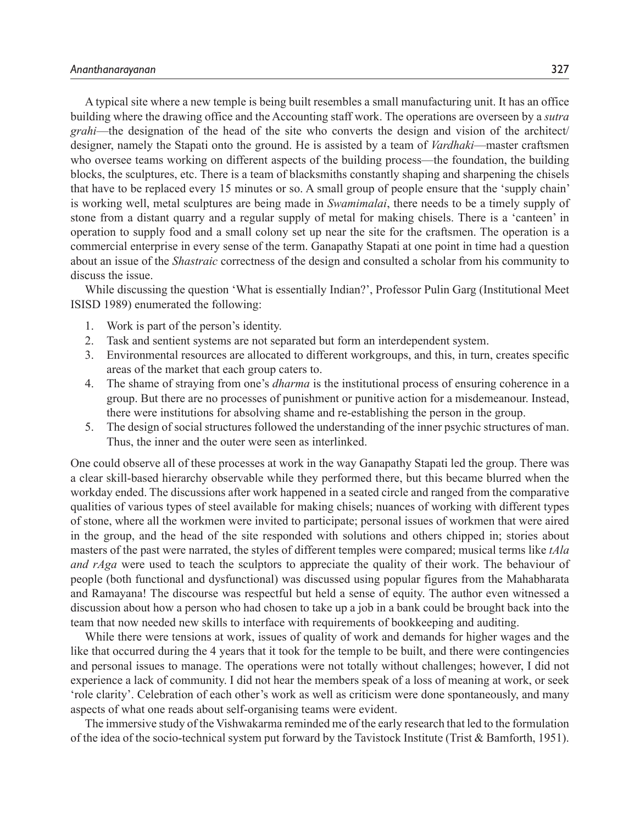A typical site where a new temple is being built resembles a small manufacturing unit. It has an office building where the drawing office and the Accounting staff work. The operations are overseen by a *sutra grahi*—the designation of the head of the site who converts the design and vision of the architect/ designer, namely the Stapati onto the ground. He is assisted by a team of *Vardhaki*—master craftsmen who oversee teams working on different aspects of the building process—the foundation, the building blocks, the sculptures, etc. There is a team of blacksmiths constantly shaping and sharpening the chisels that have to be replaced every 15 minutes or so. A small group of people ensure that the 'supply chain' is working well, metal sculptures are being made in *Swamimalai*, there needs to be a timely supply of stone from a distant quarry and a regular supply of metal for making chisels. There is a 'canteen' in operation to supply food and a small colony set up near the site for the craftsmen. The operation is a commercial enterprise in every sense of the term. Ganapathy Stapati at one point in time had a question about an issue of the *Shastraic* correctness of the design and consulted a scholar from his community to discuss the issue.

While discussing the question 'What is essentially Indian?', Professor Pulin Garg (Institutional Meet ISISD 1989) enumerated the following:

- 1. Work is part of the person's identity.
- 2. Task and sentient systems are not separated but form an interdependent system.
- 3. Environmental resources are allocated to different workgroups, and this, in turn, creates specific areas of the market that each group caters to.
- 4. The shame of straying from one's *dharma* is the institutional process of ensuring coherence in a group. But there are no processes of punishment or punitive action for a misdemeanour. Instead, there were institutions for absolving shame and re-establishing the person in the group.
- 5. The design of social structures followed the understanding of the inner psychic structures of man. Thus, the inner and the outer were seen as interlinked.

One could observe all of these processes at work in the way Ganapathy Stapati led the group. There was a clear skill-based hierarchy observable while they performed there, but this became blurred when the workday ended. The discussions after work happened in a seated circle and ranged from the comparative qualities of various types of steel available for making chisels; nuances of working with different types of stone, where all the workmen were invited to participate; personal issues of workmen that were aired in the group, and the head of the site responded with solutions and others chipped in; stories about masters of the past were narrated, the styles of different temples were compared; musical terms like *tAla and rAga* were used to teach the sculptors to appreciate the quality of their work. The behaviour of people (both functional and dysfunctional) was discussed using popular figures from the Mahabharata and Ramayana! The discourse was respectful but held a sense of equity. The author even witnessed a discussion about how a person who had chosen to take up a job in a bank could be brought back into the team that now needed new skills to interface with requirements of bookkeeping and auditing.

While there were tensions at work, issues of quality of work and demands for higher wages and the like that occurred during the 4 years that it took for the temple to be built, and there were contingencies and personal issues to manage. The operations were not totally without challenges; however, I did not experience a lack of community. I did not hear the members speak of a loss of meaning at work, or seek 'role clarity'. Celebration of each other's work as well as criticism were done spontaneously, and many aspects of what one reads about self-organising teams were evident.

The immersive study of the Vishwakarma reminded me of the early research that led to the formulation of the idea of the socio-technical system put forward by the Tavistock Institute (Trist & Bamforth, 1951).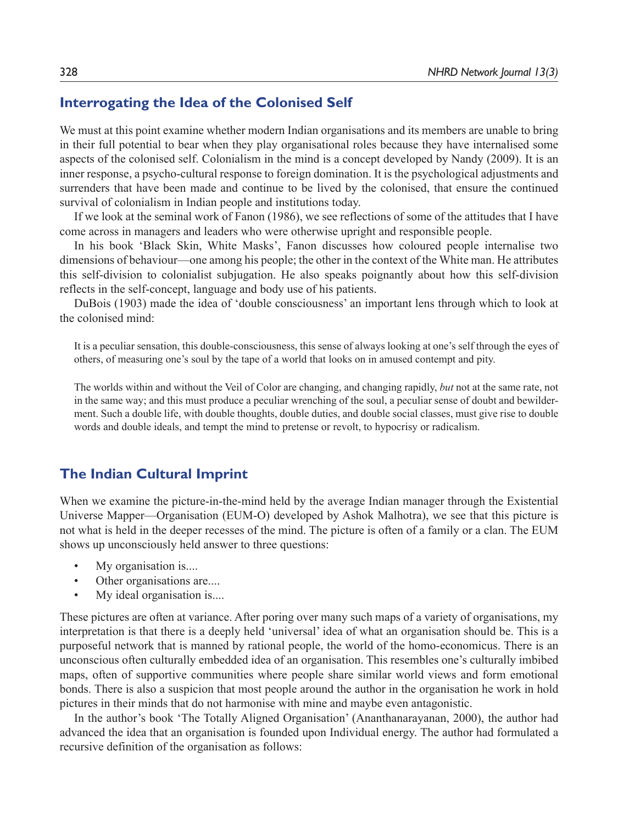## **Interrogating the Idea of the Colonised Self**

We must at this point examine whether modern Indian organisations and its members are unable to bring in their full potential to bear when they play organisational roles because they have internalised some aspects of the colonised self. Colonialism in the mind is a concept developed by Nandy (2009). It is an inner response, a psycho-cultural response to foreign domination. It is the psychological adjustments and surrenders that have been made and continue to be lived by the colonised, that ensure the continued survival of colonialism in Indian people and institutions today.

If we look at the seminal work of Fanon (1986), we see reflections of some of the attitudes that I have come across in managers and leaders who were otherwise upright and responsible people.

In his book 'Black Skin, White Masks', Fanon discusses how coloured people internalise two dimensions of behaviour—one among his people; the other in the context of the White man. He attributes this self-division to colonialist subjugation. He also speaks poignantly about how this self-division reflects in the self-concept, language and body use of his patients.

DuBois (1903) made the idea of 'double consciousness' an important lens through which to look at the colonised mind:

It is a peculiar sensation, this double-consciousness, this sense of always looking at one's self through the eyes of others, of measuring one's soul by the tape of a world that looks on in amused contempt and pity.

The worlds within and without the Veil of Color are changing, and changing rapidly, *but* not at the same rate, not in the same way; and this must produce a peculiar wrenching of the soul, a peculiar sense of doubt and bewilderment. Such a double life, with double thoughts, double duties, and double social classes, must give rise to double words and double ideals, and tempt the mind to pretense or revolt, to hypocrisy or radicalism.

### **The Indian Cultural Imprint**

When we examine the picture-in-the-mind held by the average Indian manager through the Existential Universe Mapper—Organisation (EUM-O) developed by Ashok Malhotra), we see that this picture is not what is held in the deeper recesses of the mind. The picture is often of a family or a clan. The EUM shows up unconsciously held answer to three questions:

- My organisation is....
- Other organisations are....
- My ideal organisation is....

These pictures are often at variance. After poring over many such maps of a variety of organisations, my interpretation is that there is a deeply held 'universal' idea of what an organisation should be. This is a purposeful network that is manned by rational people, the world of the homo-economicus. There is an unconscious often culturally embedded idea of an organisation. This resembles one's culturally imbibed maps, often of supportive communities where people share similar world views and form emotional bonds. There is also a suspicion that most people around the author in the organisation he work in hold pictures in their minds that do not harmonise with mine and maybe even antagonistic.

In the author's book 'The Totally Aligned Organisation' (Ananthanarayanan, 2000), the author had advanced the idea that an organisation is founded upon Individual energy. The author had formulated a recursive definition of the organisation as follows: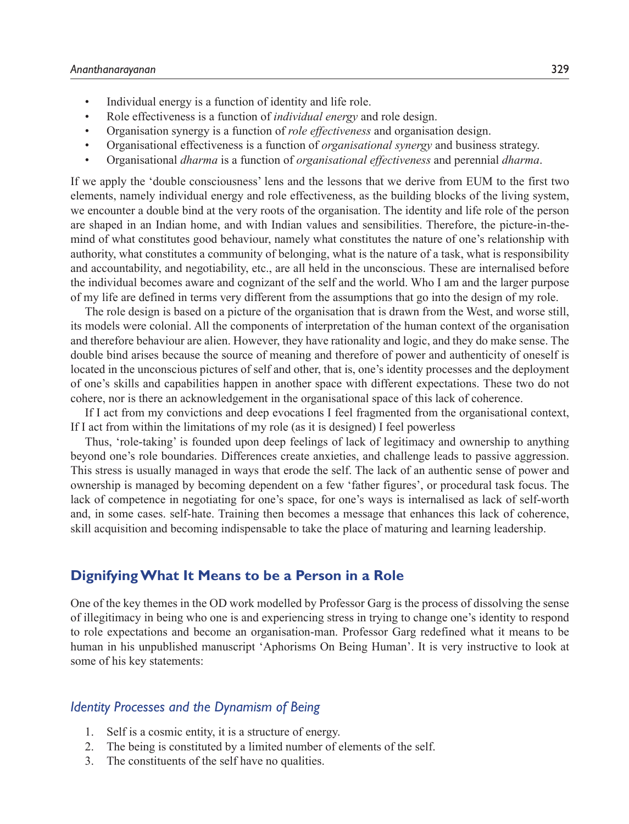- Individual energy is a function of identity and life role.
- • Role effectiveness is a function of *individual energy* and role design.
- Organisation synergy is a function of *role effectiveness* and organisation design.
- • Organisational effectiveness is a function of *organisational synergy* and business strategy.
- • Organisational *dharma* is a function of *organisational effectiveness* and perennial *dharma*.

If we apply the 'double consciousness' lens and the lessons that we derive from EUM to the first two elements, namely individual energy and role effectiveness, as the building blocks of the living system, we encounter a double bind at the very roots of the organisation. The identity and life role of the person are shaped in an Indian home, and with Indian values and sensibilities. Therefore, the picture-in-themind of what constitutes good behaviour, namely what constitutes the nature of one's relationship with authority, what constitutes a community of belonging, what is the nature of a task, what is responsibility and accountability, and negotiability, etc., are all held in the unconscious. These are internalised before the individual becomes aware and cognizant of the self and the world. Who I am and the larger purpose of my life are defined in terms very different from the assumptions that go into the design of my role.

The role design is based on a picture of the organisation that is drawn from the West, and worse still, its models were colonial. All the components of interpretation of the human context of the organisation and therefore behaviour are alien. However, they have rationality and logic, and they do make sense. The double bind arises because the source of meaning and therefore of power and authenticity of oneself is located in the unconscious pictures of self and other, that is, one's identity processes and the deployment of one's skills and capabilities happen in another space with different expectations. These two do not cohere, nor is there an acknowledgement in the organisational space of this lack of coherence.

If I act from my convictions and deep evocations I feel fragmented from the organisational context, If I act from within the limitations of my role (as it is designed) I feel powerless

Thus, 'role-taking' is founded upon deep feelings of lack of legitimacy and ownership to anything beyond one's role boundaries. Differences create anxieties, and challenge leads to passive aggression. This stress is usually managed in ways that erode the self. The lack of an authentic sense of power and ownership is managed by becoming dependent on a few 'father figures', or procedural task focus. The lack of competence in negotiating for one's space, for one's ways is internalised as lack of self-worth and, in some cases. self-hate. Training then becomes a message that enhances this lack of coherence, skill acquisition and becoming indispensable to take the place of maturing and learning leadership.

#### **Dignifying What It Means to be a Person in a Role**

One of the key themes in the OD work modelled by Professor Garg is the process of dissolving the sense of illegitimacy in being who one is and experiencing stress in trying to change one's identity to respond to role expectations and become an organisation-man. Professor Garg redefined what it means to be human in his unpublished manuscript 'Aphorisms On Being Human'. It is very instructive to look at some of his key statements:

#### *Identity Processes and the Dynamism of Being*

- 1. Self is a cosmic entity, it is a structure of energy.
- 2. The being is constituted by a limited number of elements of the self.
- 3. The constituents of the self have no qualities.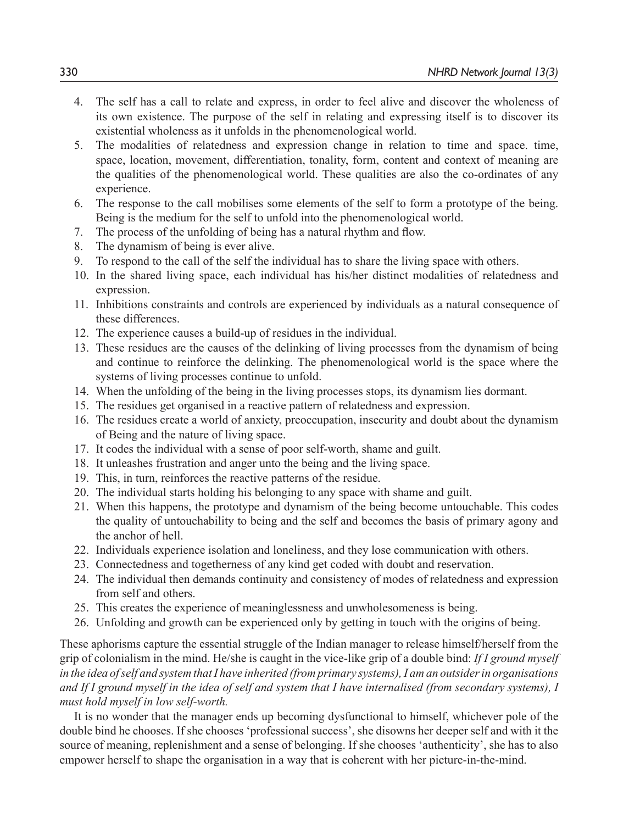- 4. The self has a call to relate and express, in order to feel alive and discover the wholeness of its own existence. The purpose of the self in relating and expressing itself is to discover its existential wholeness as it unfolds in the phenomenological world.
- 5. The modalities of relatedness and expression change in relation to time and space. time, space, location, movement, differentiation, tonality, form, content and context of meaning are the qualities of the phenomenological world. These qualities are also the co-ordinates of any experience.
- 6. The response to the call mobilises some elements of the self to form a prototype of the being. Being is the medium for the self to unfold into the phenomenological world.
- 7. The process of the unfolding of being has a natural rhythm and flow.
- 8. The dynamism of being is ever alive.
- 9. To respond to the call of the self the individual has to share the living space with others.
- 10. In the shared living space, each individual has his/her distinct modalities of relatedness and expression.
- 11. Inhibitions constraints and controls are experienced by individuals as a natural consequence of these differences.
- 12. The experience causes a build-up of residues in the individual.
- 13. These residues are the causes of the delinking of living processes from the dynamism of being and continue to reinforce the delinking. The phenomenological world is the space where the systems of living processes continue to unfold.
- 14. When the unfolding of the being in the living processes stops, its dynamism lies dormant.
- 15. The residues get organised in a reactive pattern of relatedness and expression.
- 16. The residues create a world of anxiety, preoccupation, insecurity and doubt about the dynamism of Being and the nature of living space.
- 17. It codes the individual with a sense of poor self-worth, shame and guilt.
- 18. It unleashes frustration and anger unto the being and the living space.
- 19. This, in turn, reinforces the reactive patterns of the residue.
- 20. The individual starts holding his belonging to any space with shame and guilt.
- 21. When this happens, the prototype and dynamism of the being become untouchable. This codes the quality of untouchability to being and the self and becomes the basis of primary agony and the anchor of hell.
- 22. Individuals experience isolation and loneliness, and they lose communication with others.
- 23. Connectedness and togetherness of any kind get coded with doubt and reservation.
- 24. The individual then demands continuity and consistency of modes of relatedness and expression from self and others.
- 25. This creates the experience of meaninglessness and unwholesomeness is being.
- 26. Unfolding and growth can be experienced only by getting in touch with the origins of being.

These aphorisms capture the essential struggle of the Indian manager to release himself/herself from the grip of colonialism in the mind. He/she is caught in the vice-like grip of a double bind: *If I ground myself in the idea of self and system that I have inherited (from primary systems), I am an outsider in organisations and If I ground myself in the idea of self and system that I have internalised (from secondary systems), I must hold myself in low self-worth.*

It is no wonder that the manager ends up becoming dysfunctional to himself, whichever pole of the double bind he chooses. If she chooses 'professional success', she disowns her deeper self and with it the source of meaning, replenishment and a sense of belonging. If she chooses 'authenticity', she has to also empower herself to shape the organisation in a way that is coherent with her picture-in-the-mind.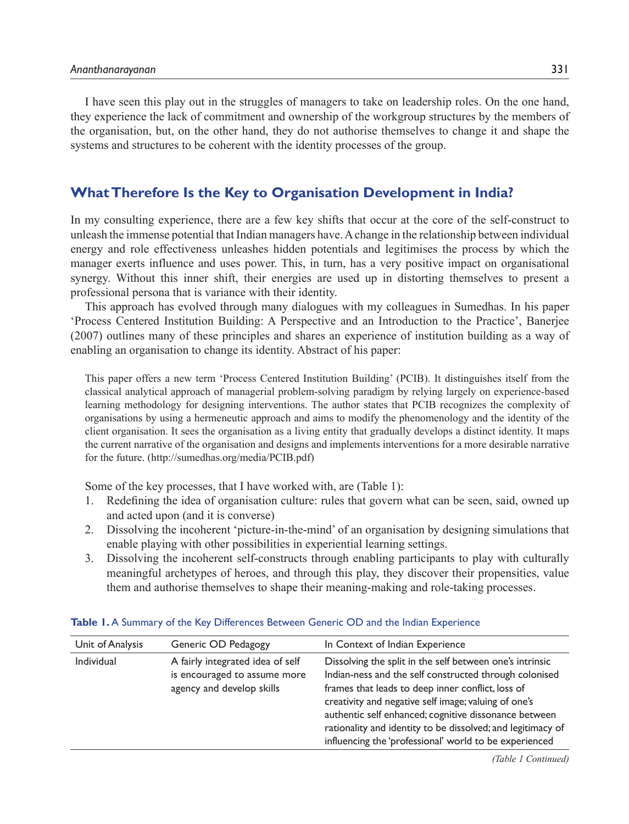I have seen this play out in the struggles of managers to take on leadership roles. On the one hand, they experience the lack of commitment and ownership of the workgroup structures by the members of the organisation, but, on the other hand, they do not authorise themselves to change it and shape the systems and structures to be coherent with the identity processes of the group.

# **What Therefore Is the Key to Organisation Development in India?**

In my consulting experience, there are a few key shifts that occur at the core of the self-construct to unleash the immense potential that Indian managers have. A change in the relationship between individual energy and role effectiveness unleashes hidden potentials and legitimises the process by which the manager exerts influence and uses power. This, in turn, has a very positive impact on organisational synergy. Without this inner shift, their energies are used up in distorting themselves to present a professional persona that is variance with their identity.

This approach has evolved through many dialogues with my colleagues in Sumedhas. In his paper 'Process Centered Institution Building: A Perspective and an Introduction to the Practice', Banerjee (2007) outlines many of these principles and shares an experience of institution building as a way of enabling an organisation to change its identity. Abstract of his paper:

This paper offers a new term 'Process Centered Institution Building' (PCIB). It distinguishes itself from the classical analytical approach of managerial problem-solving paradigm by relying largely on experience-based learning methodology for designing interventions. The author states that PCIB recognizes the complexity of organisations by using a hermeneutic approach and aims to modify the phenomenology and the identity of the client organisation. It sees the organisation as a living entity that gradually develops a distinct identity. It maps the current narrative of the organisation and designs and implements interventions for a more desirable narrative for the future. (http://sumedhas.org/media/PCIB.pdf)

Some of the key processes, that I have worked with, are (Table 1):

- 1. Redefining the idea of organisation culture: rules that govern what can be seen, said, owned up and acted upon (and it is converse)
- 2. Dissolving the incoherent 'picture-in-the-mind' of an organisation by designing simulations that enable playing with other possibilities in experiential learning settings.
- 3. Dissolving the incoherent self-constructs through enabling participants to play with culturally meaningful archetypes of heroes, and through this play, they discover their propensities, value them and authorise themselves to shape their meaning-making and role-taking processes.

| Unit of Analysis | Generic OD Pedagogy                                                                           | In Context of Indian Experience                                                                                                                                                                                                                                                                                                                                                                                   |
|------------------|-----------------------------------------------------------------------------------------------|-------------------------------------------------------------------------------------------------------------------------------------------------------------------------------------------------------------------------------------------------------------------------------------------------------------------------------------------------------------------------------------------------------------------|
| Individual       | A fairly integrated idea of self<br>is encouraged to assume more<br>agency and develop skills | Dissolving the split in the self between one's intrinsic<br>Indian-ness and the self constructed through colonised<br>frames that leads to deep inner conflict, loss of<br>creativity and negative self image; valuing of one's<br>authentic self enhanced; cognitive dissonance between<br>rationality and identity to be dissolved; and legitimacy of<br>influencing the 'professional' world to be experienced |

#### Table 1. A Summary of the Key Differences Between Generic OD and the Indian Experience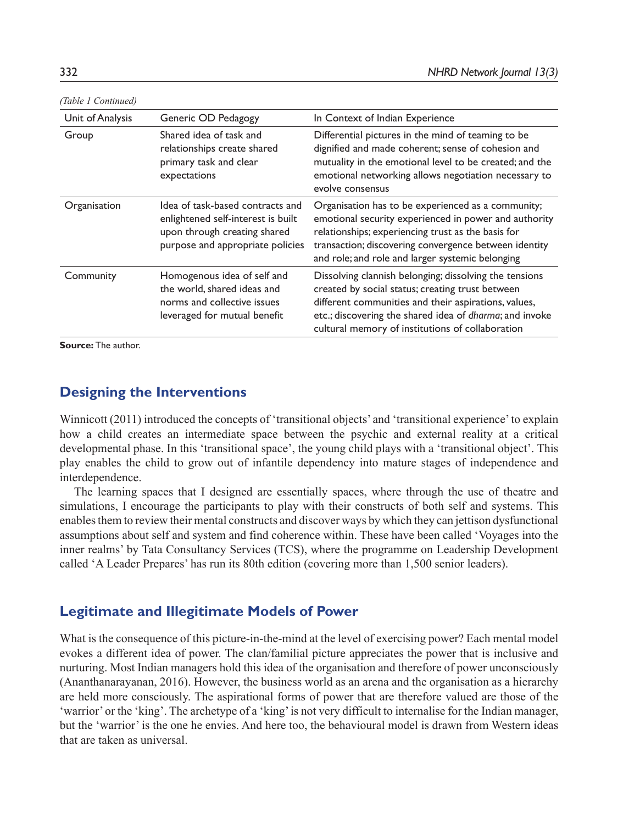| Unit of Analysis | Generic OD Pedagogy                                                                                                                        | In Context of Indian Experience                                                                                                                                                                                                                                                   |
|------------------|--------------------------------------------------------------------------------------------------------------------------------------------|-----------------------------------------------------------------------------------------------------------------------------------------------------------------------------------------------------------------------------------------------------------------------------------|
| Group            | Shared idea of task and<br>relationships create shared<br>primary task and clear<br>expectations                                           | Differential pictures in the mind of teaming to be<br>dignified and made coherent; sense of cohesion and<br>mutuality in the emotional level to be created; and the<br>emotional networking allows negotiation necessary to<br>evolve consensus                                   |
| Organisation     | Idea of task-based contracts and<br>enlightened self-interest is built<br>upon through creating shared<br>purpose and appropriate policies | Organisation has to be experienced as a community;<br>emotional security experienced in power and authority<br>relationships; experiencing trust as the basis for<br>transaction; discovering convergence between identity<br>and role; and role and larger systemic belonging    |
| Community        | Homogenous idea of self and<br>the world, shared ideas and<br>norms and collective issues<br>leveraged for mutual benefit                  | Dissolving clannish belonging; dissolving the tensions<br>created by social status; creating trust between<br>different communities and their aspirations, values,<br>etc.; discovering the shared idea of dharma; and invoke<br>cultural memory of institutions of collaboration |
|                  |                                                                                                                                            |                                                                                                                                                                                                                                                                                   |

**Source:** The author.

## **Designing the Interventions**

Winnicott (2011) introduced the concepts of 'transitional objects' and 'transitional experience' to explain how a child creates an intermediate space between the psychic and external reality at a critical developmental phase. In this 'transitional space', the young child plays with a 'transitional object'. This play enables the child to grow out of infantile dependency into mature stages of independence and interdependence.

The learning spaces that I designed are essentially spaces, where through the use of theatre and simulations, I encourage the participants to play with their constructs of both self and systems. This enables them to review their mental constructs and discover ways by which they can jettison dysfunctional assumptions about self and system and find coherence within. These have been called 'Voyages into the inner realms' by Tata Consultancy Services (TCS), where the programme on Leadership Development called 'A Leader Prepares' has run its 80th edition (covering more than 1,500 senior leaders).

### **Legitimate and Illegitimate Models of Power**

What is the consequence of this picture-in-the-mind at the level of exercising power? Each mental model evokes a different idea of power. The clan/familial picture appreciates the power that is inclusive and nurturing. Most Indian managers hold this idea of the organisation and therefore of power unconsciously (Ananthanarayanan, 2016). However, the business world as an arena and the organisation as a hierarchy are held more consciously. The aspirational forms of power that are therefore valued are those of the 'warrior' or the 'king'. The archetype of a 'king' is not very difficult to internalise for the Indian manager, but the 'warrior' is the one he envies. And here too, the behavioural model is drawn from Western ideas that are taken as universal.

*(Table 1 Continued)*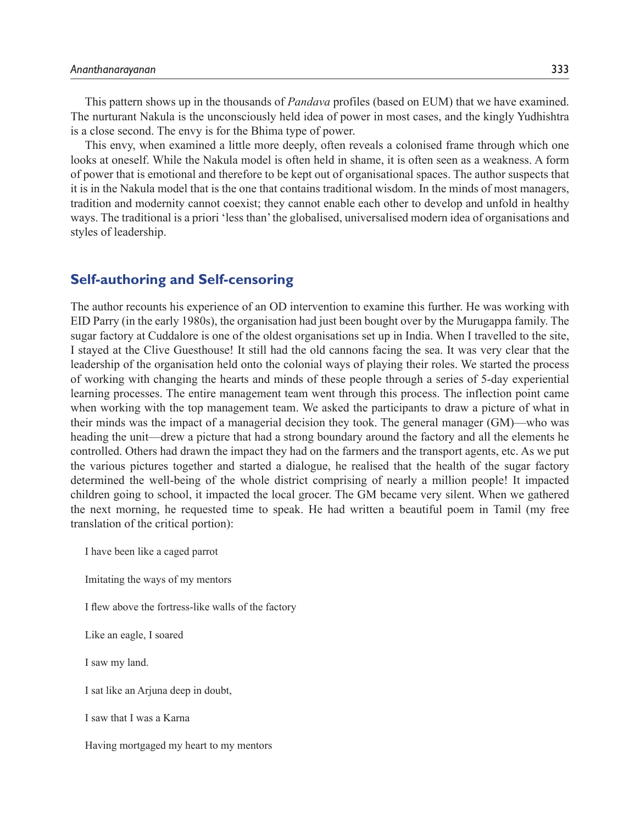This pattern shows up in the thousands of *Pandava* profiles (based on EUM) that we have examined. The nurturant Nakula is the unconsciously held idea of power in most cases, and the kingly Yudhishtra is a close second. The envy is for the Bhima type of power.

This envy, when examined a little more deeply, often reveals a colonised frame through which one looks at oneself. While the Nakula model is often held in shame, it is often seen as a weakness. A form of power that is emotional and therefore to be kept out of organisational spaces. The author suspects that it is in the Nakula model that is the one that contains traditional wisdom. In the minds of most managers, tradition and modernity cannot coexist; they cannot enable each other to develop and unfold in healthy ways. The traditional is a priori 'less than' the globalised, universalised modern idea of organisations and styles of leadership.

#### **Self-authoring and Self-censoring**

The author recounts his experience of an OD intervention to examine this further. He was working with EID Parry (in the early 1980s), the organisation had just been bought over by the Murugappa family. The sugar factory at Cuddalore is one of the oldest organisations set up in India. When I travelled to the site, I stayed at the Clive Guesthouse! It still had the old cannons facing the sea. It was very clear that the leadership of the organisation held onto the colonial ways of playing their roles. We started the process of working with changing the hearts and minds of these people through a series of 5-day experiential learning processes. The entire management team went through this process. The inflection point came when working with the top management team. We asked the participants to draw a picture of what in their minds was the impact of a managerial decision they took. The general manager (GM)—who was heading the unit—drew a picture that had a strong boundary around the factory and all the elements he controlled. Others had drawn the impact they had on the farmers and the transport agents, etc. As we put the various pictures together and started a dialogue, he realised that the health of the sugar factory determined the well-being of the whole district comprising of nearly a million people! It impacted children going to school, it impacted the local grocer. The GM became very silent. When we gathered the next morning, he requested time to speak. He had written a beautiful poem in Tamil (my free translation of the critical portion):

I have been like a caged parrot

Imitating the ways of my mentors

I flew above the fortress-like walls of the factory

Like an eagle, I soared

I saw my land.

I sat like an Arjuna deep in doubt,

I saw that I was a Karna

Having mortgaged my heart to my mentors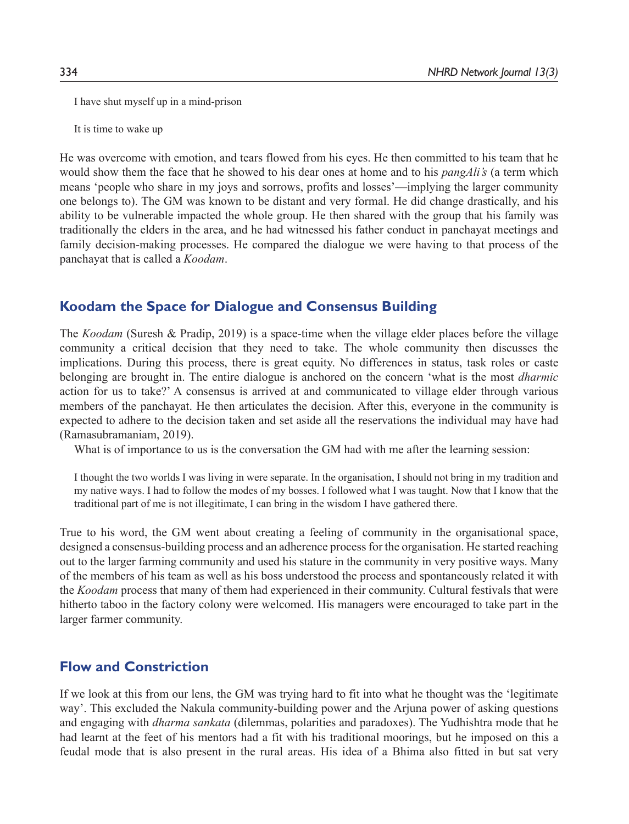I have shut myself up in a mind-prison

It is time to wake up

He was overcome with emotion, and tears flowed from his eyes. He then committed to his team that he would show them the face that he showed to his dear ones at home and to his *pangAli's* (a term which means 'people who share in my joys and sorrows, profits and losses'—implying the larger community one belongs to). The GM was known to be distant and very formal. He did change drastically, and his ability to be vulnerable impacted the whole group. He then shared with the group that his family was traditionally the elders in the area, and he had witnessed his father conduct in panchayat meetings and family decision-making processes. He compared the dialogue we were having to that process of the panchayat that is called a *Koodam*.

## **Koodam the Space for Dialogue and Consensus Building**

The *Koodam* (Suresh & Pradip, 2019) is a space-time when the village elder places before the village community a critical decision that they need to take. The whole community then discusses the implications. During this process, there is great equity. No differences in status, task roles or caste belonging are brought in. The entire dialogue is anchored on the concern 'what is the most *dharmic* action for us to take?' A consensus is arrived at and communicated to village elder through various members of the panchayat. He then articulates the decision. After this, everyone in the community is expected to adhere to the decision taken and set aside all the reservations the individual may have had (Ramasubramaniam, 2019).

What is of importance to us is the conversation the GM had with me after the learning session:

I thought the two worlds I was living in were separate. In the organisation, I should not bring in my tradition and my native ways. I had to follow the modes of my bosses. I followed what I was taught. Now that I know that the traditional part of me is not illegitimate, I can bring in the wisdom I have gathered there.

True to his word, the GM went about creating a feeling of community in the organisational space, designed a consensus-building process and an adherence process for the organisation. He started reaching out to the larger farming community and used his stature in the community in very positive ways. Many of the members of his team as well as his boss understood the process and spontaneously related it with the *Koodam* process that many of them had experienced in their community. Cultural festivals that were hitherto taboo in the factory colony were welcomed. His managers were encouraged to take part in the larger farmer community.

### **Flow and Constriction**

If we look at this from our lens, the GM was trying hard to fit into what he thought was the 'legitimate way'. This excluded the Nakula community-building power and the Arjuna power of asking questions and engaging with *dharma sankata* (dilemmas, polarities and paradoxes). The Yudhishtra mode that he had learnt at the feet of his mentors had a fit with his traditional moorings, but he imposed on this a feudal mode that is also present in the rural areas. His idea of a Bhima also fitted in but sat very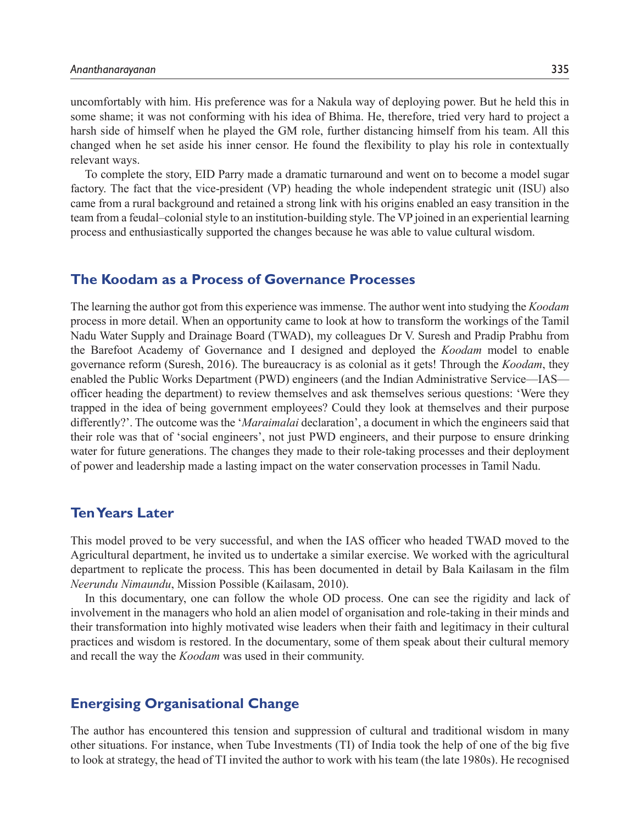uncomfortably with him. His preference was for a Nakula way of deploying power. But he held this in some shame; it was not conforming with his idea of Bhima. He, therefore, tried very hard to project a harsh side of himself when he played the GM role, further distancing himself from his team. All this changed when he set aside his inner censor. He found the flexibility to play his role in contextually relevant ways.

To complete the story, EID Parry made a dramatic turnaround and went on to become a model sugar factory. The fact that the vice-president (VP) heading the whole independent strategic unit (ISU) also came from a rural background and retained a strong link with his origins enabled an easy transition in the team from a feudal–colonial style to an institution-building style. The VP joined in an experiential learning process and enthusiastically supported the changes because he was able to value cultural wisdom.

#### **The Koodam as a Process of Governance Processes**

The learning the author got from this experience was immense. The author went into studying the *Koodam* process in more detail. When an opportunity came to look at how to transform the workings of the Tamil Nadu Water Supply and Drainage Board (TWAD), my colleagues Dr V. Suresh and Pradip Prabhu from the Barefoot Academy of Governance and I designed and deployed the *Koodam* model to enable governance reform (Suresh, 2016). The bureaucracy is as colonial as it gets! Through the *Koodam*, they enabled the Public Works Department (PWD) engineers (and the Indian Administrative Service—IAS officer heading the department) to review themselves and ask themselves serious questions: 'Were they trapped in the idea of being government employees? Could they look at themselves and their purpose differently?'. The outcome was the '*Maraimalai* declaration', a document in which the engineers said that their role was that of 'social engineers', not just PWD engineers, and their purpose to ensure drinking water for future generations. The changes they made to their role-taking processes and their deployment of power and leadership made a lasting impact on the water conservation processes in Tamil Nadu.

## **Ten Years Later**

This model proved to be very successful, and when the IAS officer who headed TWAD moved to the Agricultural department, he invited us to undertake a similar exercise. We worked with the agricultural department to replicate the process. This has been documented in detail by Bala Kailasam in the film *Neerundu Nimaundu*, Mission Possible (Kailasam, 2010).

In this documentary, one can follow the whole OD process. One can see the rigidity and lack of involvement in the managers who hold an alien model of organisation and role-taking in their minds and their transformation into highly motivated wise leaders when their faith and legitimacy in their cultural practices and wisdom is restored. In the documentary, some of them speak about their cultural memory and recall the way the *Koodam* was used in their community.

#### **Energising Organisational Change**

The author has encountered this tension and suppression of cultural and traditional wisdom in many other situations. For instance, when Tube Investments (TI) of India took the help of one of the big five to look at strategy, the head of TI invited the author to work with his team (the late 1980s). He recognised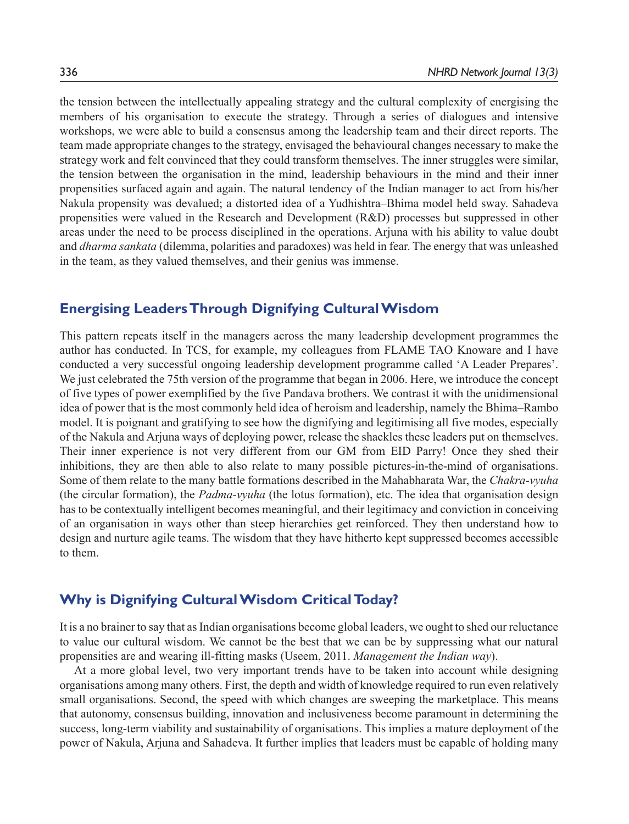the tension between the intellectually appealing strategy and the cultural complexity of energising the members of his organisation to execute the strategy. Through a series of dialogues and intensive workshops, we were able to build a consensus among the leadership team and their direct reports. The team made appropriate changes to the strategy, envisaged the behavioural changes necessary to make the strategy work and felt convinced that they could transform themselves. The inner struggles were similar, the tension between the organisation in the mind, leadership behaviours in the mind and their inner propensities surfaced again and again. The natural tendency of the Indian manager to act from his/her Nakula propensity was devalued; a distorted idea of a Yudhishtra*–*Bhima model held sway. Sahadeva propensities were valued in the Research and Development (R&D) processes but suppressed in other areas under the need to be process disciplined in the operations. Arjuna with his ability to value doubt and *dharma sankata* (dilemma, polarities and paradoxes) was held in fear. The energy that was unleashed in the team, as they valued themselves, and their genius was immense.

#### **Energising Leaders Through Dignifying Cultural Wisdom**

This pattern repeats itself in the managers across the many leadership development programmes the author has conducted. In TCS, for example, my colleagues from FLAME TAO Knoware and I have conducted a very successful ongoing leadership development programme called 'A Leader Prepares'. We just celebrated the 75th version of the programme that began in 2006. Here, we introduce the concept of five types of power exemplified by the five Pandava brothers. We contrast it with the unidimensional idea of power that is the most commonly held idea of heroism and leadership, namely the Bhima–Rambo model. It is poignant and gratifying to see how the dignifying and legitimising all five modes, especially of the Nakula and Arjuna ways of deploying power, release the shackles these leaders put on themselves. Their inner experience is not very different from our GM from EID Parry! Once they shed their inhibitions, they are then able to also relate to many possible pictures-in-the-mind of organisations. Some of them relate to the many battle formations described in the Mahabharata War, the *Chakra-vyuha* (the circular formation), the *Padma-vyuha* (the lotus formation), etc. The idea that organisation design has to be contextually intelligent becomes meaningful, and their legitimacy and conviction in conceiving of an organisation in ways other than steep hierarchies get reinforced. They then understand how to design and nurture agile teams. The wisdom that they have hitherto kept suppressed becomes accessible to them.

### **Why is Dignifying Cultural Wisdom Critical Today?**

It is a no brainer to say that as Indian organisations become global leaders, we ought to shed our reluctance to value our cultural wisdom. We cannot be the best that we can be by suppressing what our natural propensities are and wearing ill-fitting masks (Useem, 2011. *Management the Indian way*).

At a more global level, two very important trends have to be taken into account while designing organisations among many others. First, the depth and width of knowledge required to run even relatively small organisations. Second, the speed with which changes are sweeping the marketplace. This means that autonomy, consensus building, innovation and inclusiveness become paramount in determining the success, long-term viability and sustainability of organisations. This implies a mature deployment of the power of Nakula, Arjuna and Sahadeva. It further implies that leaders must be capable of holding many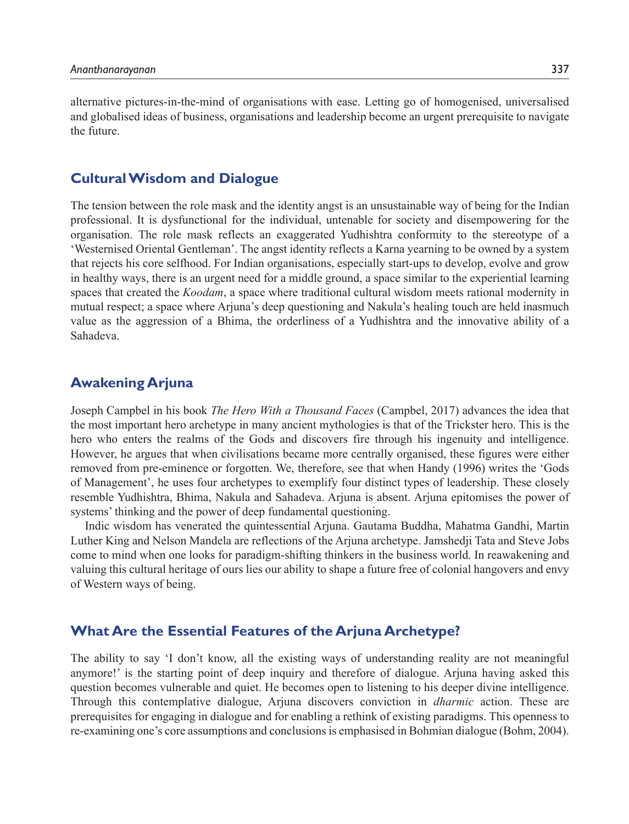alternative pictures-in-the-mind of organisations with ease. Letting go of homogenised, universalised and globalised ideas of business, organisations and leadership become an urgent prerequisite to navigate the future.

### **Cultural Wisdom and Dialogue**

The tension between the role mask and the identity angst is an unsustainable way of being for the Indian professional. It is dysfunctional for the individual, untenable for society and disempowering for the organisation. The role mask reflects an exaggerated Yudhishtra conformity to the stereotype of a 'Westernised Oriental Gentleman'. The angst identity reflects a Karna yearning to be owned by a system that rejects his core selfhood. For Indian organisations, especially start-ups to develop, evolve and grow in healthy ways, there is an urgent need for a middle ground, a space similar to the experiential learning spaces that created the *Koodam*, a space where traditional cultural wisdom meets rational modernity in mutual respect; a space where Arjuna's deep questioning and Nakula's healing touch are held inasmuch value as the aggression of a Bhima, the orderliness of a Yudhishtra and the innovative ability of a Sahadeva.

## **Awakening Arjuna**

Joseph Campbel in his book *The Hero With a Thousand Faces* (Campbel, 2017) advances the idea that the most important hero archetype in many ancient mythologies is that of the Trickster hero. This is the hero who enters the realms of the Gods and discovers fire through his ingenuity and intelligence. However, he argues that when civilisations became more centrally organised, these figures were either removed from pre-eminence or forgotten. We, therefore, see that when Handy (1996) writes the 'Gods of Management', he uses four archetypes to exemplify four distinct types of leadership. These closely resemble Yudhishtra, Bhima, Nakula and Sahadeva. Arjuna is absent. Arjuna epitomises the power of systems' thinking and the power of deep fundamental questioning.

Indic wisdom has venerated the quintessential Arjuna. Gautama Buddha, Mahatma Gandhi, Martin Luther King and Nelson Mandela are reflections of the Arjuna archetype. Jamshedji Tata and Steve Jobs come to mind when one looks for paradigm-shifting thinkers in the business world. In reawakening and valuing this cultural heritage of ours lies our ability to shape a future free of colonial hangovers and envy of Western ways of being.

# **What Are the Essential Features of the Arjuna Archetype?**

The ability to say 'I don't know, all the existing ways of understanding reality are not meaningful anymore!' is the starting point of deep inquiry and therefore of dialogue. Arjuna having asked this question becomes vulnerable and quiet. He becomes open to listening to his deeper divine intelligence. Through this contemplative dialogue, Arjuna discovers conviction in *dharmic* action. These are prerequisites for engaging in dialogue and for enabling a rethink of existing paradigms. This openness to re-examining one's core assumptions and conclusions is emphasised in Bohmian dialogue (Bohm, 2004).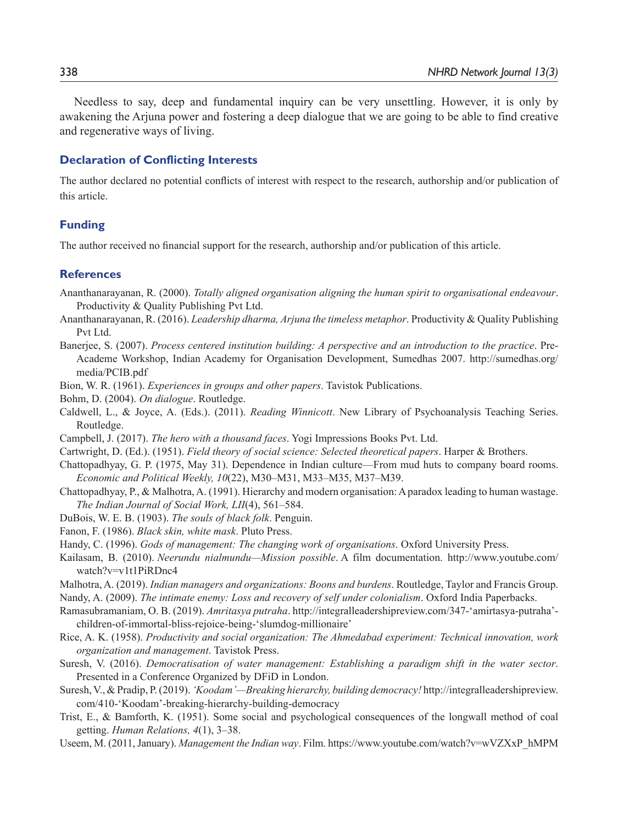Needless to say, deep and fundamental inquiry can be very unsettling. However, it is only by awakening the Arjuna power and fostering a deep dialogue that we are going to be able to find creative and regenerative ways of living.

#### **Declaration of Conflicting Interests**

The author declared no potential conflicts of interest with respect to the research, authorship and/or publication of this article.

#### **Funding**

The author received no financial support for the research, authorship and/or publication of this article.

#### **References**

- Ananthanarayanan, R. (2000). *Totally aligned organisation aligning the human spirit to organisational endeavour*. Productivity & Quality Publishing Pvt Ltd.
- Ananthanarayanan, R. (2016). *Leadership dharma, Arjuna the timeless metaphor*. Productivity & Quality Publishing Pvt Ltd.
- Banerjee, S. (2007). *Process centered institution building: A perspective and an introduction to the practice*. Pre-Academe Workshop, Indian Academy for Organisation Development, Sumedhas 2007. http://sumedhas.org/ media/PCIB.pdf
- Bion, W. R. (1961). *Experiences in groups and other papers*. Tavistok Publications.
- Bohm, D. (2004). *On dialogue*. Routledge.
- Caldwell, L., & Joyce, A. (Eds.). (2011). *Reading Winnicott*. New Library of Psychoanalysis Teaching Series. Routledge.
- Campbell, J. (2017). *The hero with a thousand faces*. Yogi Impressions Books Pvt. Ltd.
- Cartwright, D. (Ed.). (1951). *Field theory of social science: Selected theoretical papers*. Harper & Brothers.
- Chattopadhyay, G. P. (1975, May 31). Dependence in Indian culture—From mud huts to company board rooms. *Economic and Political Weekly, 10*(22), M30–M31, M33–M35, M37–M39.
- Chattopadhyay, P., & Malhotra, A. (1991). Hierarchy and modern organisation: A paradox leading to human wastage. *The Indian Journal of Social Work, LII*(4), 561–584.
- DuBois, W. E. B. (1903). *The souls of black folk*. Penguin.
- Fanon, F. (1986). *Black skin, white mask*. Pluto Press.
- Handy, C. (1996). *Gods of management: The changing work of organisations*. Oxford University Press.
- Kailasam, B. (2010). *Neerundu nialmundu—Mission possible*. A film documentation. http://www.youtube.com/ watch?v=v1t1PiRDnc4
- Malhotra, A. (2019). *Indian managers and organizations: Boons and burdens*. Routledge, Taylor and Francis Group.
- Nandy, A. (2009). *The intimate enemy: Loss and recovery of self under colonialism*. Oxford India Paperbacks.
- Ramasubramaniam, O. B. (2019). *Amritasya putraha*. http://integralleadershipreview.com/347-'amirtasya-putraha' children-of-immortal-bliss-rejoice-being-'slumdog-millionaire'
- Rice, A. K. (1958). *Productivity and social organization: The Ahmedabad experiment: Technical innovation, work organization and management*. Tavistok Press.
- Suresh, V. (2016). *Democratisation of water management: Establishing a paradigm shift in the water sector*. Presented in a Conference Organized by DFiD in London.
- Suresh, V., & Pradip, P. (2019). *'Koodam'—Breaking hierarchy, building democracy!* http://integralleadershipreview. com/410-'Koodam'-breaking-hierarchy-building-democracy
- Trist, E., & Bamforth, K. (1951). Some social and psychological consequences of the longwall method of coal getting. *Human Relations, 4*(1), 3–38.
- Useem, M. (2011, January). *Management the Indian way*. Film. https://www.youtube.com/watch?v=wVZXxP\_hMPM